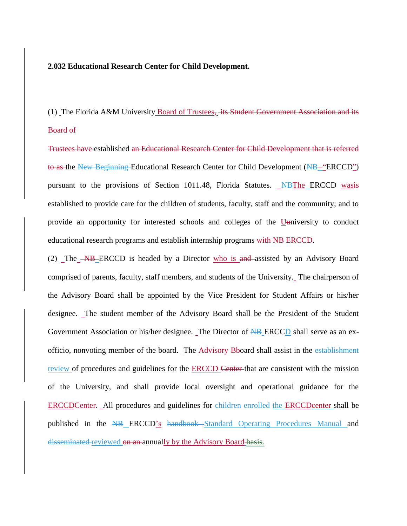## **2.032 Educational Research Center for Child Development.**

(1) The Florida A&M University Board of Trustees, its Student Government Association and its Board of

Trustees have established an Educational Research Center for Child Development that is referred to as the New Beginning Educational Research Center for Child Development (NB—"ERCCD") pursuant to the provisions of Section 1011.48, Florida Statutes. NBThe ERCCD wasis established to provide care for the children of students, faculty, staff and the community; and to provide an opportunity for interested schools and colleges of the Uuniversity to conduct educational research programs and establish internship programs with NB ERCCD.

(2) The **NB** ERCCD is headed by a Director who is and assisted by an Advisory Board comprised of parents, faculty, staff members, and students of the University. The chairperson of the Advisory Board shall be appointed by the Vice President for Student Affairs or his/her designee. The student member of the Advisory Board shall be the President of the Student Government Association or his/her designee. The Director of NB ERCCD shall serve as an exofficio, nonvoting member of the board. The Advisory Bboard shall assist in the establishment review of procedures and guidelines for the ERCCD Center that are consistent with the mission of the University, and shall provide local oversight and operational guidance for the ERCCDCenter. All procedures and guidelines for children enrolled the ERCCDcenter shall be published in the NB ERCCD's handbook Standard Operating Procedures Manual and disseminated reviewed on an annually by the Advisory Board basis.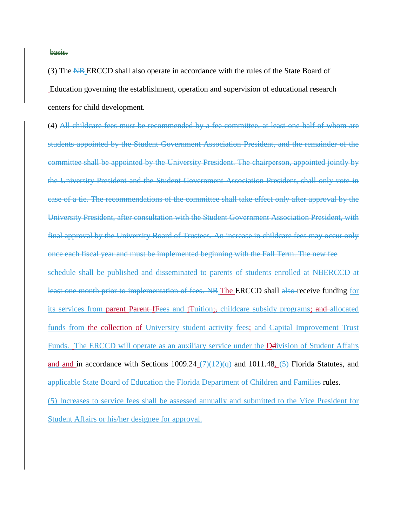basis.

(3) The NB ERCCD shall also operate in accordance with the rules of the State Board of Education governing the establishment, operation and supervision of educational research centers for child development.

(4) All childcare fees must be recommended by a fee committee, at least one-half of whom are students appointed by the Student Government Association President, and the remainder of the committee shall be appointed by the University President. The chairperson, appointed jointly by the University President and the Student Government Association President, shall only vote in case of a tie. The recommendations of the committee shall take effect only after approval by the University President, after consultation with the Student Government Association President, with final approval by the University Board of Trustees. An increase in childcare fees may occur only once each fiscal year and must be implemented beginning with the Fall Term. The new fee schedule shall be published and disseminated to parents of students enrolled at NBERCCD at least one month prior to implementation of fees. NB The ERCCD shall also-receive funding for its services from parent Parent fFees and tTuition;, childcare subsidy programs; and allocated funds from the collection of University student activity fees; and Capital Improvement Trust Funds. The ERCCD will operate as an auxiliary service under the Delivision of Student Affairs and and in accordance with Sections 1009.24  $(7)(12)(q)$  and 1011.48,  $(5)$  Florida Statutes, and applicable State Board of Education the Florida Department of Children and Families rules. (5) Increases to service fees shall be assessed annually and submitted to the Vice President for Student Affairs or his/her designee for approval.